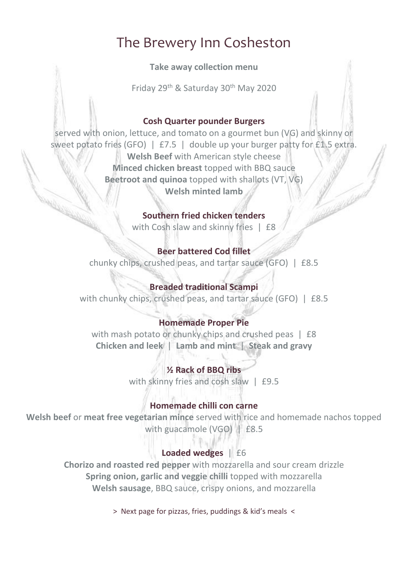# The Brewery Inn Cosheston

#### **Take away collection menu**

Friday 29<sup>th</sup> & Saturday 30<sup>th</sup> May 2020

#### **Cosh Quarter pounder Burgers**

served with onion, lettuce, and tomato on a gourmet bun (VG) and skinny or sweet potato fries (GFO) | £7.5 | double up your burger patty for £1.5 extra. **Welsh Beef** with American style cheese **Minced chicken breast** topped with BBQ sauce **Beetroot and quinoa** topped with shallots (VT, VG) **Welsh minted lamb**

#### **Southern fried chicken tenders**

with Cosh slaw and skinny fries | £8

#### **Beer battered Cod fillet**

chunky chips, crushed peas, and tartar sauce (GFO) | £8.5

### **Breaded traditional Scampi**

with chunky chips, crushed peas, and tartar sauce (GFO) | £8.5

## **Homemade Proper Pie**

with mash potato or chunky chips and crushed peas | £8 **Chicken and leek** | **Lamb and mint** | **Steak and gravy**

#### **½ Rack of BBQ ribs**

with skinny fries and cosh slaw | £9.5

#### **Homemade chilli con carne**

**Welsh beef** or **meat free vegetarian mince** served with rice and homemade nachos topped with guacamole (VGO) | £8.5

#### **Loaded wedges** | £6

**Chorizo and roasted red pepper** with mozzarella and sour cream drizzle **Spring onion, garlic and veggie chilli** topped with mozzarella **Welsh sausage**, BBQ sauce, crispy onions, and mozzarella

> Next page for pizzas, fries, puddings & kid's meals <